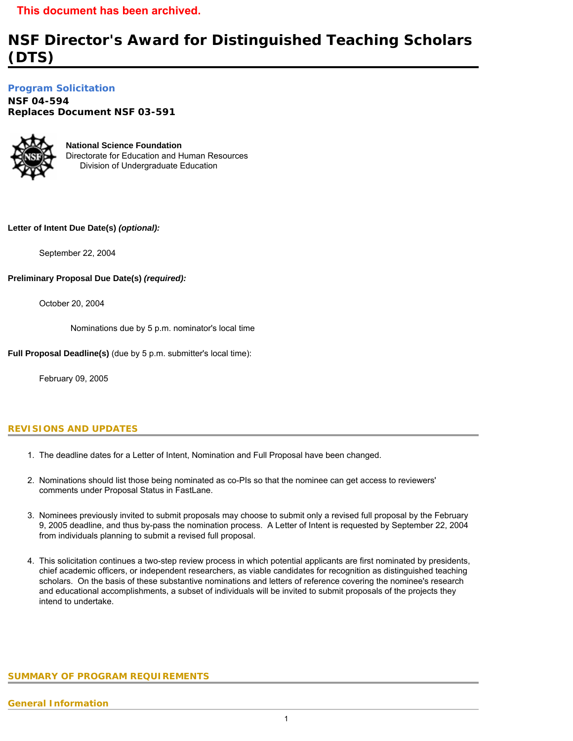# **NSF Director's Award for Distinguished Teaching Scholars (DTS)**

**[Program Solicitation](#page-2-0)** 

**NSF 04-594**  *Replaces Document* **NSF 03-591** 



**National Science Foundation** Directorate for Education and Human Resources Division of Undergraduate Education

# **Letter of Intent Due Date(s)** *(optional):*

September 22, 2004

# **Preliminary Proposal Due Date(s)** *(required):*

October 20, 2004

Nominations due by 5 p.m. nominator's local time

**Full Proposal Deadline(s)** (due by 5 p.m. submitter's local time):

February 09, 2005

# **REVISIONS AND UPDATES**

- 1. The deadline dates for a Letter of Intent, Nomination and Full Proposal have been changed.
- 2. Nominations should list those being nominated as co-PIs so that the nominee can get access to reviewers' comments under Proposal Status in FastLane.
- 3. Nominees previously invited to submit proposals may choose to submit only a revised full proposal by the February 9, 2005 deadline, and thus by-pass the nomination process. A Letter of Intent is requested by September 22, 2004 from individuals planning to submit a revised full proposal.
- <span id="page-0-0"></span>4. This solicitation continues a two-step review process in which potential applicants are first nominated by presidents, chief academic officers, or independent researchers, as viable candidates for recognition as distinguished teaching scholars. On the basis of these substantive nominations and letters of reference covering the nominee's research and educational accomplishments, a subset of individuals will be invited to submit proposals of the projects they intend to undertake.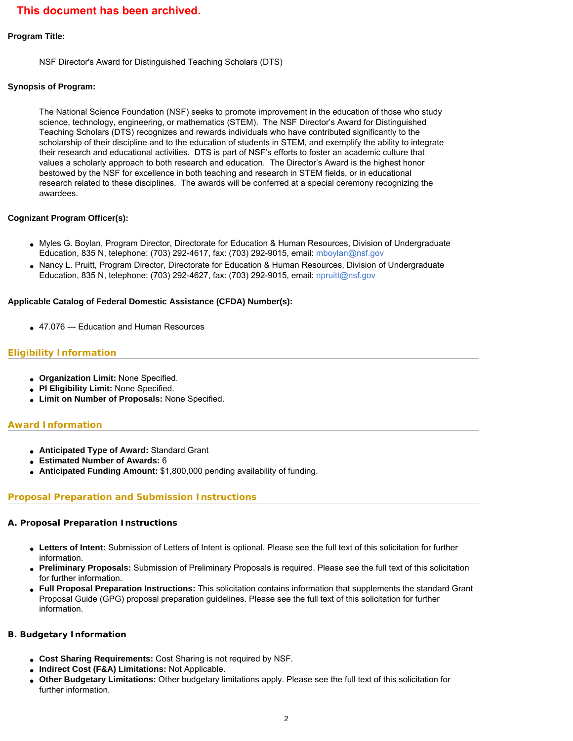#### **Program Title:**

NSF Director's Award for Distinguished Teaching Scholars (DTS)

### **Synopsis of Program:**

The National Science Foundation (NSF) seeks to promote improvement in the education of those who study science, technology, engineering, or mathematics (STEM). The NSF Director's Award for Distinguished Teaching Scholars (DTS) recognizes and rewards individuals who have contributed significantly to the scholarship of their discipline and to the education of students in STEM, and exemplify the ability to integrate their research and educational activities. DTS is part of NSF's efforts to foster an academic culture that values a scholarly approach to both research and education. The Director's Award is the highest honor bestowed by the NSF for excellence in both teaching and research in STEM fields, or in educational research related to these disciplines. The awards will be conferred at a special ceremony recognizing the awardees.

### **Cognizant Program Officer(s):**

- Myles G. Boylan, Program Director, Directorate for Education & Human Resources, Division of Undergraduate Education, 835 N, telephone: (703) 292-4617, fax: (703) 292-9015, email: [mboylan@nsf.gov](mailto:mboylan@nsf.gov)
- Nancy L. Pruitt, Program Director, Directorate for Education & Human Resources, Division of Undergraduate Education, 835 N, telephone: (703) 292-4627, fax: (703) 292-9015, email: [npruitt@nsf.gov](mailto:npruitt@nsf.gov)

### **Applicable Catalog of Federal Domestic Assistance (CFDA) Number(s):**

• 47.076 --- Education and Human Resources

# **Eligibility Information**

- **Organization Limit:** None Specified.
- **PI Eligibility Limit:** None Specified.
- **Limit on Number of Proposals:** None Specified.

# **Award Information**

- **Anticipated Type of Award:** Standard Grant
- **Estimated Number of Awards:** 6
- **Anticipated Funding Amount:** \$1,800,000 pending availability of funding.

# **Proposal Preparation and Submission Instructions**

#### **A. Proposal Preparation Instructions**

- **Letters of Intent:** Submission of Letters of Intent is optional. Please see the full text of this solicitation for further information.
- **Preliminary Proposals:** Submission of Preliminary Proposals is required. Please see the full text of this solicitation for further information.
- **Full Proposal Preparation Instructions:** This solicitation contains information that supplements the standard Grant Proposal Guide (GPG) proposal preparation guidelines. Please see the full text of this solicitation for further information.

#### **B. Budgetary Information**

- **Cost Sharing Requirements:** Cost Sharing is not required by NSF.
- **Indirect Cost (F&A) Limitations:** Not Applicable.
- **Other Budgetary Limitations:** Other budgetary limitations apply. Please see the full text of this solicitation for further information.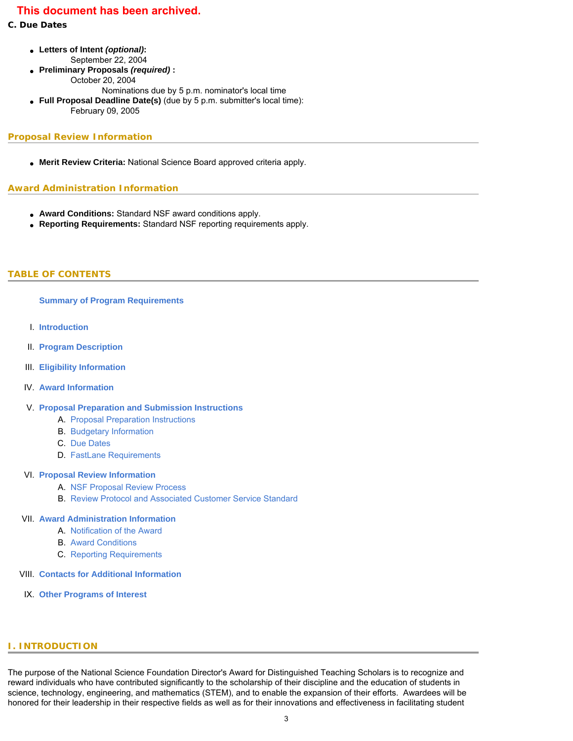### **C. Due Dates**

- **Letters of Intent** *(optional)***:** September 22, 2004
- **Preliminary Proposals** *(required)* **:** October 20, 2004 Nominations due by 5 p.m. nominator's local time
- **Full Proposal Deadline Date(s)** (due by 5 p.m. submitter's local time): February 09, 2005

### **Proposal Review Information**

• Merit Review Criteria: National Science Board approved criteria apply.

### **Award Administration Information**

- **Award Conditions:** Standard NSF award conditions apply.
- **Reporting Requirements:** Standard NSF reporting requirements apply.

# <span id="page-2-0"></span>**TABLE OF CONTENTS**

### **[Summary of Program Requirements](#page-0-0)**

- I. **[Introduction](#page-2-1)**
- II. **[Program Description](#page-3-0)**
- III. **[Eligibility Information](#page-3-1)**
- IV. **[Award Information](#page-3-2)**

# V. **[Proposal Preparation and Submission Instructions](#page-4-0)**

- A. [Proposal Preparation Instructions](#page-4-0)
- B. [Budgetary Information](#page-6-0)
- C. [Due Dates](#page-6-1)
- D. [FastLane Requirements](#page-7-0)

#### VI. **[Proposal Review Information](#page-7-1)**

- A. [NSF Proposal Review Process](#page-7-2)
- B. [Review Protocol and Associated Customer Service Standard](#page-8-0)

#### VII. **[Award Administration Information](#page-8-1)**

- A. [Notification of the Award](#page-8-2)
- B. [Award Conditions](#page-9-0)
- C. [Reporting Requirements](#page-9-1)
- VIII. **[Contacts for Additional Information](#page-9-2)**
- <span id="page-2-1"></span>IX. **[Other Programs of Interest](#page-9-3)**

# **I. INTRODUCTION**

The purpose of the National Science Foundation Director's Award for Distinguished Teaching Scholars is to recognize and reward individuals who have contributed significantly to the scholarship of their discipline and the education of students in science, technology, engineering, and mathematics (STEM), and to enable the expansion of their efforts. Awardees will be honored for their leadership in their respective fields as well as for their innovations and effectiveness in facilitating student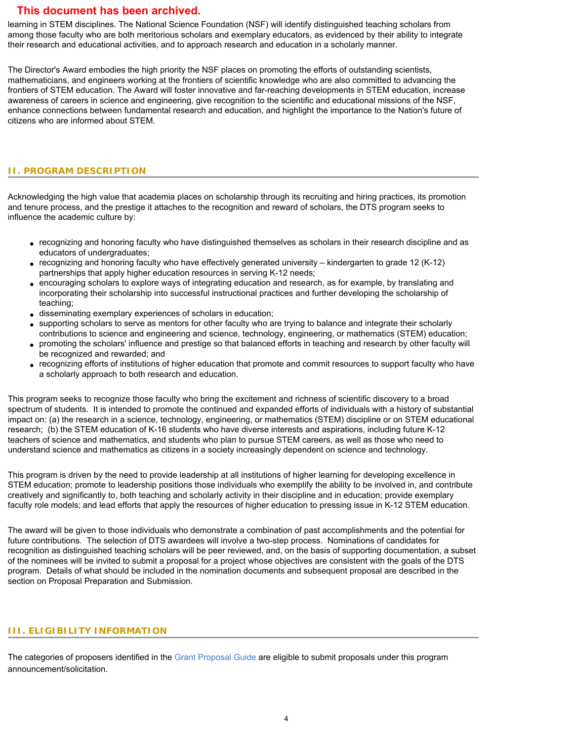learning in STEM disciplines. The National Science Foundation (NSF) will identify distinguished teaching scholars from among those faculty who are both meritorious scholars and exemplary educators, as evidenced by their ability to integrate their research and educational activities, and to approach research and education in a scholarly manner.

The Director's Award embodies the high priority the NSF places on promoting the efforts of outstanding scientists, mathematicians, and engineers working at the frontiers of scientific knowledge who are also committed to advancing the frontiers of STEM education. The Award will foster innovative and far-reaching developments in STEM education, increase awareness of careers in science and engineering, give recognition to the scientific and educational missions of the NSF, enhance connections between fundamental research and education, and highlight the importance to the Nation's future of citizens who are informed about STEM.

#### <span id="page-3-0"></span>**II. PROGRAM DESCRIPTION**

Acknowledging the high value that academia places on scholarship through its recruiting and hiring practices, its promotion and tenure process, and the prestige it attaches to the recognition and reward of scholars, the DTS program seeks to influence the academic culture by:

- recognizing and honoring faculty who have distinguished themselves as scholars in their research discipline and as educators of undergraduates;
- recognizing and honoring faculty who have effectively generated university kindergarten to grade 12 (K-12) partnerships that apply higher education resources in serving K-12 needs;
- encouraging scholars to explore ways of integrating education and research, as for example, by translating and incorporating their scholarship into successful instructional practices and further developing the scholarship of teaching;
- disseminating exemplary experiences of scholars in education;
- supporting scholars to serve as mentors for other faculty who are trying to balance and integrate their scholarly contributions to science and engineering and science, technology, engineering, or mathematics (STEM) education;
- promoting the scholars' influence and prestige so that balanced efforts in teaching and research by other faculty will be recognized and rewarded; and
- recognizing efforts of institutions of higher education that promote and commit resources to support faculty who have a scholarly approach to both research and education.

This program seeks to recognize those faculty who bring the excitement and richness of scientific discovery to a broad spectrum of students. It is intended to promote the continued and expanded efforts of individuals with a history of substantial impact on: (a) the research in a science, technology, engineering, or mathematics (STEM) discipline or on STEM educational research; (b) the STEM education of K-16 students who have diverse interests and aspirations, including future K-12 teachers of science and mathematics, and students who plan to pursue STEM careers, as well as those who need to understand science and mathematics as citizens in a society increasingly dependent on science and technology.

This program is driven by the need to provide leadership at all institutions of higher learning for developing excellence in STEM education; promote to leadership positions those individuals who exemplify the ability to be involved in, and contribute creatively and significantly to, both teaching and scholarly activity in their discipline and in education; provide exemplary faculty role models; and lead efforts that apply the resources of higher education to pressing issue in K-12 STEM education.

The award will be given to those individuals who demonstrate a combination of past accomplishments and the potential for future contributions. The selection of DTS awardees will involve a two-step process. Nominations of candidates for recognition as distinguished teaching scholars will be peer reviewed, and, on the basis of supporting documentation, a subset of the nominees will be invited to submit a proposal for a project whose objectives are consistent with the goals of the DTS program. Details of what should be included in the nomination documents and subsequent proposal are described in the section on Proposal Preparation and Submission.

#### <span id="page-3-1"></span>**III. ELIGIBILITY INFORMATION**

<span id="page-3-2"></span>The categories of proposers identified in the [Grant Proposal Guide](http://www.nsf.gov/pubsys/ods/getpub.cfm?gpg) are eligible to submit proposals under this program announcement/solicitation.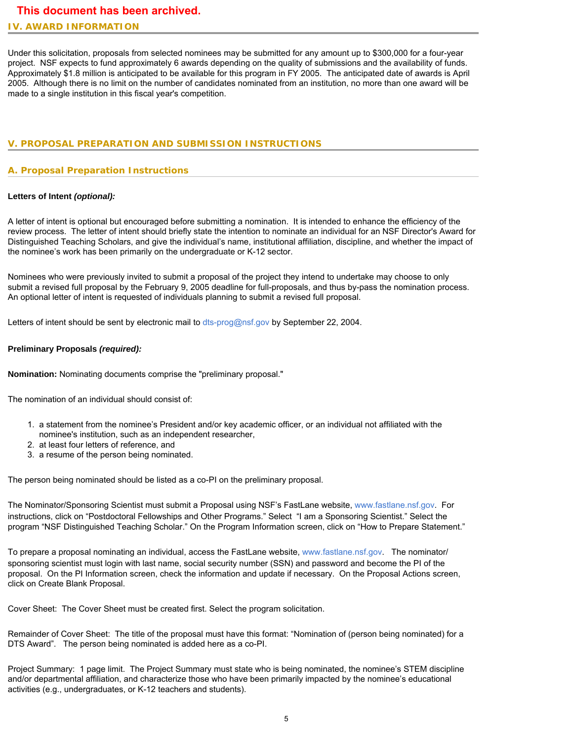#### **IV. AWARD INFORMATION**

Under this solicitation, proposals from selected nominees may be submitted for any amount up to \$300,000 for a four-year project. NSF expects to fund approximately 6 awards depending on the quality of submissions and the availability of funds. Approximately \$1.8 million is anticipated to be available for this program in FY 2005. The anticipated date of awards is April 2005. Although there is no limit on the number of candidates nominated from an institution, no more than one award will be made to a single institution in this fiscal year's competition.

### <span id="page-4-0"></span>**V. PROPOSAL PREPARATION AND SUBMISSION INSTRUCTIONS**

#### **A. Proposal Preparation Instructions**

#### **Letters of Intent** *(optional):*

A letter of intent is optional but encouraged before submitting a nomination. It is intended to enhance the efficiency of the review process. The letter of intent should briefly state the intention to nominate an individual for an NSF Director's Award for Distinguished Teaching Scholars, and give the individual's name, institutional affiliation, discipline, and whether the impact of the nominee's work has been primarily on the undergraduate or K-12 sector.

Nominees who were previously invited to submit a proposal of the project they intend to undertake may choose to only submit a revised full proposal by the February 9, 2005 deadline for full-proposals, and thus by-pass the nomination process. An optional letter of intent is requested of individuals planning to submit a revised full proposal.

Letters of intent should be sent by electronic mail to [dts-prog@nsf.gov](mailto:dts-prog@nsf.gov) by September 22, 2004.

#### **Preliminary Proposals** *(required):*

**Nomination:** Nominating documents comprise the "preliminary proposal."

The nomination of an individual should consist of:

- 1. a statement from the nominee's President and/or key academic officer, or an individual not affiliated with the nominee's institution, such as an independent researcher,
- 2. at least four letters of reference, and
- 3. a resume of the person being nominated.

The person being nominated should be listed as a co-PI on the preliminary proposal.

The Nominator/Sponsoring Scientist must submit a Proposal using NSF's FastLane website, [www.fastlane.nsf.gov](http://www.fastlane.nsf.gov/). For instructions, click on "Postdoctoral Fellowships and Other Programs." Select "I am a Sponsoring Scientist." Select the program "NSF Distinguished Teaching Scholar." On the Program Information screen, click on "How to Prepare Statement."

To prepare a proposal nominating an individual, access the FastLane website, [www.fastlane.nsf.gov](http://www.fastlane.nsf.gov/). The nominator/ sponsoring scientist must login with last name, social security number (SSN) and password and become the PI of the proposal. On the PI Information screen, check the information and update if necessary. On the Proposal Actions screen, click on Create Blank Proposal.

Cover Sheet: The Cover Sheet must be created first. Select the program solicitation.

Remainder of Cover Sheet: The title of the proposal must have this format: "Nomination of (person being nominated) for a DTS Award". The person being nominated is added here as a co-PI.

Project Summary: 1 page limit. The Project Summary must state who is being nominated, the nominee's STEM discipline and/or departmental affiliation, and characterize those who have been primarily impacted by the nominee's educational activities (e.g., undergraduates, or K-12 teachers and students).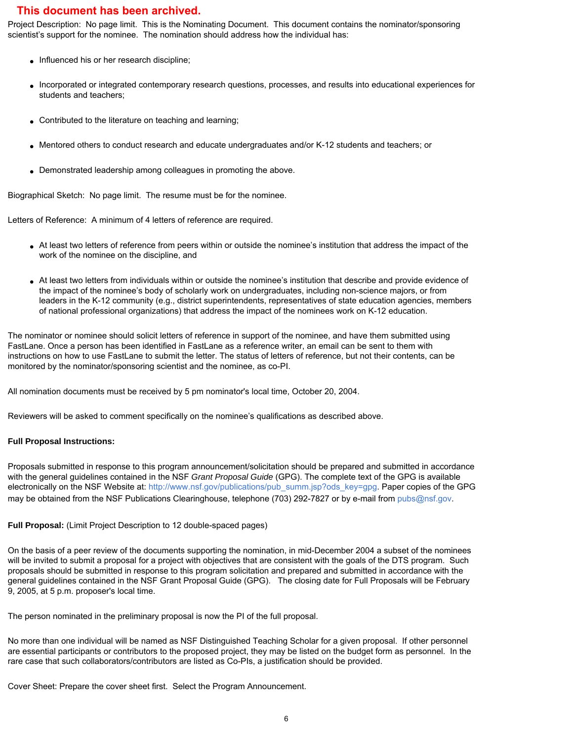Project Description: No page limit. This is the Nominating Document. This document contains the nominator/sponsoring scientist's support for the nominee. The nomination should address how the individual has:

- Influenced his or her research discipline;
- Incorporated or integrated contemporary research questions, processes, and results into educational experiences for students and teachers;
- Contributed to the literature on teaching and learning;
- Mentored others to conduct research and educate undergraduates and/or K-12 students and teachers; or
- Demonstrated leadership among colleagues in promoting the above.

Biographical Sketch: No page limit. The resume must be for the nominee.

Letters of Reference: A minimum of 4 letters of reference are required.

- At least two letters of reference from peers within or outside the nominee's institution that address the impact of the work of the nominee on the discipline, and
- At least two letters from individuals within or outside the nominee's institution that describe and provide evidence of the impact of the nominee's body of scholarly work on undergraduates, including non-science majors, or from leaders in the K-12 community (e.g., district superintendents, representatives of state education agencies, members of national professional organizations) that address the impact of the nominees work on K-12 education.

The nominator or nominee should solicit letters of reference in support of the nominee, and have them submitted using FastLane. Once a person has been identified in FastLane as a reference writer, an email can be sent to them with instructions on how to use FastLane to submit the letter. The status of letters of reference, but not their contents, can be monitored by the nominator/sponsoring scientist and the nominee, as co-PI.

All nomination documents must be received by 5 pm nominator's local time, October 20, 2004.

Reviewers will be asked to comment specifically on the nominee's qualifications as described above.

#### **Full Proposal Instructions:**

Proposals submitted in response to this program announcement/solicitation should be prepared and submitted in accordance with the general guidelines contained in the NSF *Grant Proposal Guide* (GPG). The complete text of the GPG is available electronically on the NSF Website at: [http://www.nsf.gov/publications/pub\\_summ.jsp?ods\\_key=gpg](http://www.nsf.gov/publications/pub_summ.jsp?ods_key=gpg). Paper copies of the GPG may be obtained from the NSF Publications Clearinghouse, telephone (703) 292-7827 or by e-mail from [pubs@nsf.gov.](mailto:pubs@nsf.gov)

#### **Full Proposal:** (Limit Project Description to 12 double-spaced pages)

On the basis of a peer review of the documents supporting the nomination, in mid-December 2004 a subset of the nominees will be invited to submit a proposal for a project with objectives that are consistent with the goals of the DTS program. Such proposals should be submitted in response to this program solicitation and prepared and submitted in accordance with the general guidelines contained in the NSF Grant Proposal Guide (GPG). The closing date for Full Proposals will be February 9, 2005, at 5 p.m. proposer's local time.

The person nominated in the preliminary proposal is now the PI of the full proposal.

No more than one individual will be named as NSF Distinguished Teaching Scholar for a given proposal. If other personnel are essential participants or contributors to the proposed project, they may be listed on the budget form as personnel. In the rare case that such collaborators/contributors are listed as Co-PIs, a justification should be provided.

Cover Sheet: Prepare the cover sheet first. Select the Program Announcement.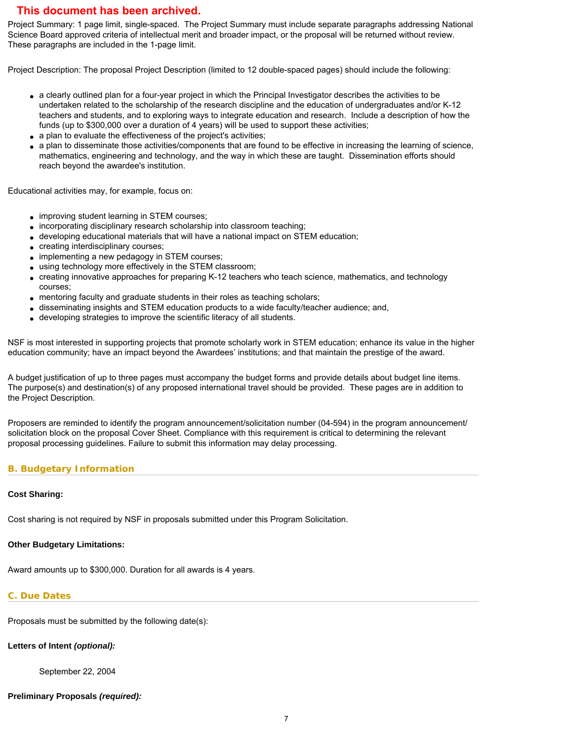Project Summary: 1 page limit, single-spaced. The Project Summary must include separate paragraphs addressing National Science Board approved criteria of intellectual merit and broader impact, or the proposal will be returned without review. These paragraphs are included in the 1-page limit.

Project Description: The proposal Project Description (limited to 12 double-spaced pages) should include the following:

- a clearly outlined plan for a four-year project in which the Principal Investigator describes the activities to be undertaken related to the scholarship of the research discipline and the education of undergraduates and/or K-12 teachers and students, and to exploring ways to integrate education and research. Include a description of how the funds (up to \$300,000 over a duration of 4 years) will be used to support these activities;
- a plan to evaluate the effectiveness of the project's activities;
- a plan to disseminate those activities/components that are found to be effective in increasing the learning of science, mathematics, engineering and technology, and the way in which these are taught. Dissemination efforts should reach beyond the awardee's institution.

Educational activities may, for example, focus on:

- improving student learning in STEM courses;
- incorporating disciplinary research scholarship into classroom teaching;
- developing educational materials that will have a national impact on STEM education;
- creating interdisciplinary courses;
- implementing a new pedagogy in STEM courses;
- using technology more effectively in the STEM classroom;
- creating innovative approaches for preparing K-12 teachers who teach science, mathematics, and technology courses;
- mentoring faculty and graduate students in their roles as teaching scholars;
- disseminating insights and STEM education products to a wide faculty/teacher audience; and,
- developing strategies to improve the scientific literacy of all students.

NSF is most interested in supporting projects that promote scholarly work in STEM education; enhance its value in the higher education community; have an impact beyond the Awardees' institutions; and that maintain the prestige of the award.

A budget justification of up to three pages must accompany the budget forms and provide details about budget line items. The purpose(s) and destination(s) of any proposed international travel should be provided. These pages are in addition to the Project Description.

Proposers are reminded to identify the program announcement/solicitation number (04-594) in the program announcement/ solicitation block on the proposal Cover Sheet. Compliance with this requirement is critical to determining the relevant proposal processing guidelines. Failure to submit this information may delay processing.

#### <span id="page-6-0"></span>**B. Budgetary Information**

#### **Cost Sharing:**

Cost sharing is not required by NSF in proposals submitted under this Program Solicitation.

#### **Other Budgetary Limitations:**

Award amounts up to \$300,000. Duration for all awards is 4 years.

# <span id="page-6-1"></span>**C. Due Dates**

Proposals must be submitted by the following date(s):

# **Letters of Intent** *(optional):*

September 22, 2004

# **Preliminary Proposals** *(required):*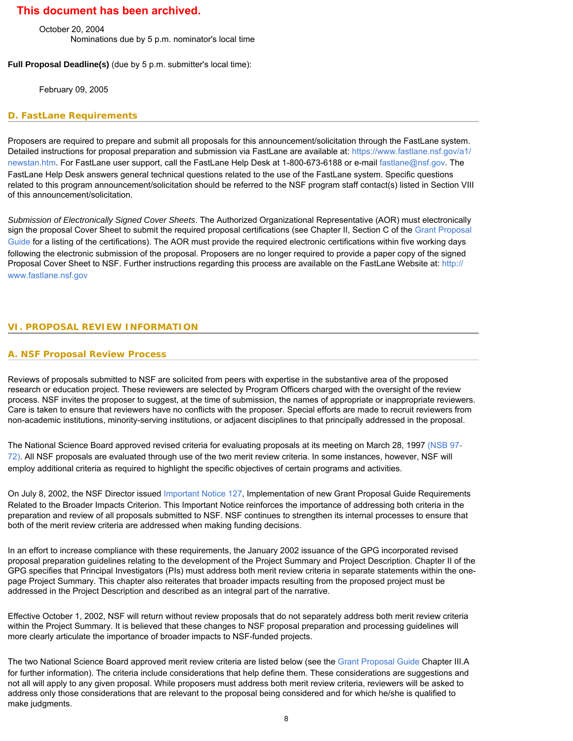October 20, 2004 Nominations due by 5 p.m. nominator's local time

**Full Proposal Deadline(s)** (due by 5 p.m. submitter's local time):

February 09, 2005

#### <span id="page-7-0"></span>**D. FastLane Requirements**

Proposers are required to prepare and submit all proposals for this announcement/solicitation through the FastLane system. Detailed instructions for proposal preparation and submission via FastLane are available at: [https://www.fastlane.nsf.gov/a1/](https://www.fastlane.nsf.gov/a1/newstan.htm) [newstan.htm.](https://www.fastlane.nsf.gov/a1/newstan.htm) For FastLane user support, call the FastLane Help Desk at 1-800-673-6188 or e-mail [fastlane@nsf.gov.](mailto:fastlane@nsf.gov) The FastLane Help Desk answers general technical questions related to the use of the FastLane system. Specific questions related to this program announcement/solicitation should be referred to the NSF program staff contact(s) listed in Section VIII of this announcement/solicitation.

*Submission of Electronically Signed Cover Sheets*. The Authorized Organizational Representative (AOR) must electronically sign the proposal Cover Sheet to submit the required proposal certifications (see Chapter II, Section C of the [Grant Proposal](http://www.nsf.gov/publications/pub_summ.jsp?ods_key=gpg) [Guide](http://www.nsf.gov/publications/pub_summ.jsp?ods_key=gpg) for a listing of the certifications). The AOR must provide the required electronic certifications within five working days following the electronic submission of the proposal. Proposers are no longer required to provide a paper copy of the signed Proposal Cover Sheet to NSF. Further instructions regarding this process are available on the FastLane Website at: [http://](http://www.fastlane.nsf.gov/) [www.fastlane.nsf.gov](http://www.fastlane.nsf.gov/)

### <span id="page-7-2"></span><span id="page-7-1"></span>**VI. PROPOSAL REVIEW INFORMATION**

#### **A. NSF Proposal Review Process**

Reviews of proposals submitted to NSF are solicited from peers with expertise in the substantive area of the proposed research or education project. These reviewers are selected by Program Officers charged with the oversight of the review process. NSF invites the proposer to suggest, at the time of submission, the names of appropriate or inappropriate reviewers. Care is taken to ensure that reviewers have no conflicts with the proposer. Special efforts are made to recruit reviewers from non-academic institutions, minority-serving institutions, or adjacent disciplines to that principally addressed in the proposal.

The National Science Board approved revised criteria for evaluating proposals at its meeting on March 28, 1997 [\(NSB 97-](http://www.nsf.gov/publications/pub_summ.jsp?ods_key=nsb9772) [72\)](http://www.nsf.gov/publications/pub_summ.jsp?ods_key=nsb9772). All NSF proposals are evaluated through use of the two merit review criteria. In some instances, however, NSF will employ additional criteria as required to highlight the specific objectives of certain programs and activities.

On July 8, 2002, the NSF Director issued [Important Notice 127,](http://www.nsf.gov/publications/pub_summ.jsp?ods_key=iin127) Implementation of new Grant Proposal Guide Requirements Related to the Broader Impacts Criterion. This Important Notice reinforces the importance of addressing both criteria in the preparation and review of all proposals submitted to NSF. NSF continues to strengthen its internal processes to ensure that both of the merit review criteria are addressed when making funding decisions.

In an effort to increase compliance with these requirements, the January 2002 issuance of the GPG incorporated revised proposal preparation guidelines relating to the development of the Project Summary and Project Description. Chapter II of the GPG specifies that Principal Investigators (PIs) must address both merit review criteria in separate statements within the onepage Project Summary. This chapter also reiterates that broader impacts resulting from the proposed project must be addressed in the Project Description and described as an integral part of the narrative.

Effective October 1, 2002, NSF will return without review proposals that do not separately address both merit review criteria within the Project Summary. It is believed that these changes to NSF proposal preparation and processing guidelines will more clearly articulate the importance of broader impacts to NSF-funded projects.

The two National Science Board approved merit review criteria are listed below (see the [Grant Proposal Guide](http://www.nsf.gov/publications/pub_summ.jsp?ods_key=gpg) Chapter III.A for further information). The criteria include considerations that help define them. These considerations are suggestions and not all will apply to any given proposal. While proposers must address both merit review criteria, reviewers will be asked to address only those considerations that are relevant to the proposal being considered and for which he/she is qualified to make judgments.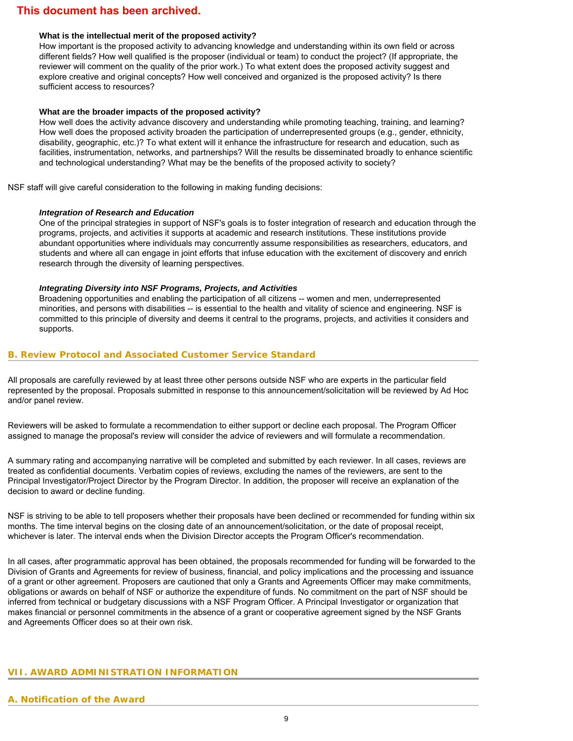#### **What is the intellectual merit of the proposed activity?**

How important is the proposed activity to advancing knowledge and understanding within its own field or across different fields? How well qualified is the proposer (individual or team) to conduct the project? (If appropriate, the reviewer will comment on the quality of the prior work.) To what extent does the proposed activity suggest and explore creative and original concepts? How well conceived and organized is the proposed activity? Is there sufficient access to resources?

#### **What are the broader impacts of the proposed activity?**

How well does the activity advance discovery and understanding while promoting teaching, training, and learning? How well does the proposed activity broaden the participation of underrepresented groups (e.g., gender, ethnicity, disability, geographic, etc.)? To what extent will it enhance the infrastructure for research and education, such as facilities, instrumentation, networks, and partnerships? Will the results be disseminated broadly to enhance scientific and technological understanding? What may be the benefits of the proposed activity to society?

NSF staff will give careful consideration to the following in making funding decisions:

#### *Integration of Research and Education*

One of the principal strategies in support of NSF's goals is to foster integration of research and education through the programs, projects, and activities it supports at academic and research institutions. These institutions provide abundant opportunities where individuals may concurrently assume responsibilities as researchers, educators, and students and where all can engage in joint efforts that infuse education with the excitement of discovery and enrich research through the diversity of learning perspectives.

#### *Integrating Diversity into NSF Programs, Projects, and Activities*

Broadening opportunities and enabling the participation of all citizens -- women and men, underrepresented minorities, and persons with disabilities -- is essential to the health and vitality of science and engineering. NSF is committed to this principle of diversity and deems it central to the programs, projects, and activities it considers and supports.

#### <span id="page-8-0"></span>**B. Review Protocol and Associated Customer Service Standard**

All proposals are carefully reviewed by at least three other persons outside NSF who are experts in the particular field represented by the proposal. Proposals submitted in response to this announcement/solicitation will be reviewed by Ad Hoc and/or panel review.

Reviewers will be asked to formulate a recommendation to either support or decline each proposal. The Program Officer assigned to manage the proposal's review will consider the advice of reviewers and will formulate a recommendation.

A summary rating and accompanying narrative will be completed and submitted by each reviewer. In all cases, reviews are treated as confidential documents. Verbatim copies of reviews, excluding the names of the reviewers, are sent to the Principal Investigator/Project Director by the Program Director. In addition, the proposer will receive an explanation of the decision to award or decline funding.

NSF is striving to be able to tell proposers whether their proposals have been declined or recommended for funding within six months. The time interval begins on the closing date of an announcement/solicitation, or the date of proposal receipt, whichever is later. The interval ends when the Division Director accepts the Program Officer's recommendation.

In all cases, after programmatic approval has been obtained, the proposals recommended for funding will be forwarded to the Division of Grants and Agreements for review of business, financial, and policy implications and the processing and issuance of a grant or other agreement. Proposers are cautioned that only a Grants and Agreements Officer may make commitments, obligations or awards on behalf of NSF or authorize the expenditure of funds. No commitment on the part of NSF should be inferred from technical or budgetary discussions with a NSF Program Officer. A Principal Investigator or organization that makes financial or personnel commitments in the absence of a grant or cooperative agreement signed by the NSF Grants and Agreements Officer does so at their own risk.

#### <span id="page-8-2"></span><span id="page-8-1"></span>**VII. AWARD ADMINISTRATION INFORMATION**

#### **A. Notification of the Award**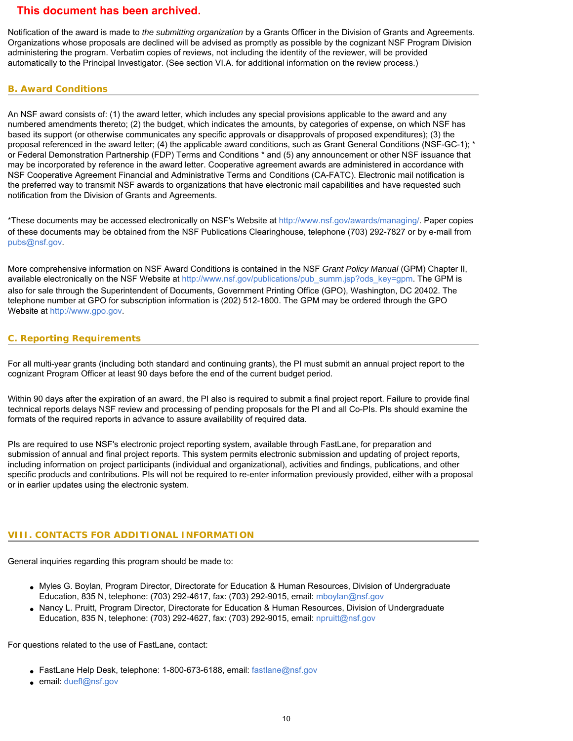Notification of the award is made to *the submitting organization* by a Grants Officer in the Division of Grants and Agreements. Organizations whose proposals are declined will be advised as promptly as possible by the cognizant NSF Program Division administering the program. Verbatim copies of reviews, not including the identity of the reviewer, will be provided automatically to the Principal Investigator. (See section VI.A. for additional information on the review process.)

### <span id="page-9-0"></span>**B. Award Conditions**

An NSF award consists of: (1) the award letter, which includes any special provisions applicable to the award and any numbered amendments thereto; (2) the budget, which indicates the amounts, by categories of expense, on which NSF has based its support (or otherwise communicates any specific approvals or disapprovals of proposed expenditures); (3) the proposal referenced in the award letter; (4) the applicable award conditions, such as Grant General Conditions (NSF-GC-1); \* or Federal Demonstration Partnership (FDP) Terms and Conditions \* and (5) any announcement or other NSF issuance that may be incorporated by reference in the award letter. Cooperative agreement awards are administered in accordance with NSF Cooperative Agreement Financial and Administrative Terms and Conditions (CA-FATC). Electronic mail notification is the preferred way to transmit NSF awards to organizations that have electronic mail capabilities and have requested such notification from the Division of Grants and Agreements.

\*These documents may be accessed electronically on NSF's Website at<http://www.nsf.gov/awards/managing/>. Paper copies of these documents may be obtained from the NSF Publications Clearinghouse, telephone (703) 292-7827 or by e-mail from [pubs@nsf.gov](mailto:pubs@nsf.gov).

More comprehensive information on NSF Award Conditions is contained in the NSF *Grant Policy Manual* (GPM) Chapter II, available electronically on the NSF Website at [http://www.nsf.gov/publications/pub\\_summ.jsp?ods\\_key=gpm](http://www.nsf.gov/publications/pub_summ.jsp?ods_key=gpm). The GPM is also for sale through the Superintendent of Documents, Government Printing Office (GPO), Washington, DC 20402. The telephone number at GPO for subscription information is (202) 512-1800. The GPM may be ordered through the GPO Website at [http://www.gpo.gov](http://www.gpo.gov/).

# <span id="page-9-1"></span>**C. Reporting Requirements**

For all multi-year grants (including both standard and continuing grants), the PI must submit an annual project report to the cognizant Program Officer at least 90 days before the end of the current budget period.

Within 90 days after the expiration of an award, the PI also is required to submit a final project report. Failure to provide final technical reports delays NSF review and processing of pending proposals for the PI and all Co-PIs. PIs should examine the formats of the required reports in advance to assure availability of required data.

PIs are required to use NSF's electronic project reporting system, available through FastLane, for preparation and submission of annual and final project reports. This system permits electronic submission and updating of project reports, including information on project participants (individual and organizational), activities and findings, publications, and other specific products and contributions. PIs will not be required to re-enter information previously provided, either with a proposal or in earlier updates using the electronic system.

# <span id="page-9-2"></span>**VIII. CONTACTS FOR ADDITIONAL INFORMATION**

General inquiries regarding this program should be made to:

- Myles G. Boylan, Program Director, Directorate for Education & Human Resources, Division of Undergraduate Education, 835 N, telephone: (703) 292-4617, fax: (703) 292-9015, email: [mboylan@nsf.gov](mailto:mboylan@nsf.gov)
- Nancy L. Pruitt, Program Director, Directorate for Education & Human Resources, Division of Undergraduate Education, 835 N, telephone: (703) 292-4627, fax: (703) 292-9015, email: [npruitt@nsf.gov](mailto:npruitt@nsf.gov)

For questions related to the use of FastLane, contact:

- FastLane Help Desk, telephone: 1-800-673-6188, email: [fastlane@nsf.gov](mailto:fastlane@nsf.gov)
- <span id="page-9-3"></span>• email: [duefl@nsf.gov](mailto:duefl@nsf.gov)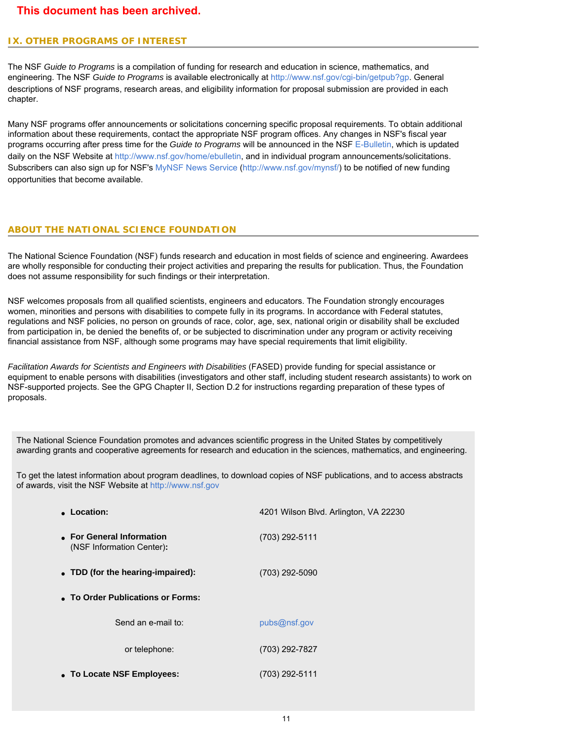# **IX. OTHER PROGRAMS OF INTEREST**

The NSF *Guide to Programs* is a compilation of funding for research and education in science, mathematics, and engineering. The NSF *Guide to Programs* is available electronically at<http://www.nsf.gov/cgi-bin/getpub?gp>. General descriptions of NSF programs, research areas, and eligibility information for proposal submission are provided in each chapter.

Many NSF programs offer announcements or solicitations concerning specific proposal requirements. To obtain additional information about these requirements, contact the appropriate NSF program offices. Any changes in NSF's fiscal year programs occurring after press time for the *Guide to Programs* will be announced in the NSF [E-Bulletin](http://www.nsf.gov/home/ebulletin), which is updated daily on the NSF Website at [http://www.nsf.gov/home/ebulletin,](http://www.nsf.gov/home/ebulletin) and in individual program announcements/solicitations. Subscribers can also sign up for NSF's [MyNSF News Service \(http://www.nsf.gov/mynsf/](http://www.nsf.gov/mynsf/)) to be notified of new funding opportunities that become available.

#### **ABOUT THE NATIONAL SCIENCE FOUNDATION**

The National Science Foundation (NSF) funds research and education in most fields of science and engineering. Awardees are wholly responsible for conducting their project activities and preparing the results for publication. Thus, the Foundation does not assume responsibility for such findings or their interpretation.

NSF welcomes proposals from all qualified scientists, engineers and educators. The Foundation strongly encourages women, minorities and persons with disabilities to compete fully in its programs. In accordance with Federal statutes, regulations and NSF policies, no person on grounds of race, color, age, sex, national origin or disability shall be excluded from participation in, be denied the benefits of, or be subjected to discrimination under any program or activity receiving financial assistance from NSF, although some programs may have special requirements that limit eligibility.

*Facilitation Awards for Scientists and Engineers with Disabilities* (FASED) provide funding for special assistance or equipment to enable persons with disabilities (investigators and other staff, including student research assistants) to work on NSF-supported projects. See the GPG Chapter II, Section D.2 for instructions regarding preparation of these types of proposals.

The National Science Foundation promotes and advances scientific progress in the United States by competitively awarding grants and cooperative agreements for research and education in the sciences, mathematics, and engineering.

To get the latest information about program deadlines, to download copies of NSF publications, and to access abstracts of awards, visit the NSF Website at [http://www.nsf.gov](http://www.nsf.gov/)

| Location:                                              | 4201 Wilson Blvd. Arlington, VA 22230 |  |  |  |  |  |  |  |  |  |
|--------------------------------------------------------|---------------------------------------|--|--|--|--|--|--|--|--|--|
| • For General Information<br>(NSF Information Center): | (703) 292-5111                        |  |  |  |  |  |  |  |  |  |
| • TDD (for the hearing-impaired):                      | (703) 292-5090                        |  |  |  |  |  |  |  |  |  |
| • To Order Publications or Forms:                      |                                       |  |  |  |  |  |  |  |  |  |
| Send an e-mail to:                                     | pubs@nsf.gov                          |  |  |  |  |  |  |  |  |  |
| or telephone:                                          | (703) 292-7827                        |  |  |  |  |  |  |  |  |  |
| • To Locate NSF Employees:                             | (703) 292-5111                        |  |  |  |  |  |  |  |  |  |